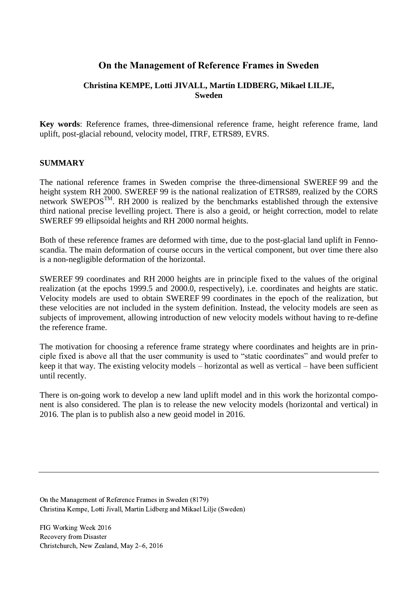# **On the Management of Reference Frames in Sweden**

# **Christina KEMPE, Lotti JIVALL, Martin LIDBERG, Mikael LILJE, Sweden**

**Key words**: Reference frames, three-dimensional reference frame, height reference frame, land uplift, post-glacial rebound, velocity model, ITRF, ETRS89, EVRS.

#### **SUMMARY**

The national reference frames in Sweden comprise the three-dimensional SWEREF 99 and the height system RH 2000. SWEREF 99 is the national realization of ETRS89, realized by the CORS network SWEPOS<sup>TM</sup>. RH 2000 is realized by the benchmarks established through the extensive third national precise levelling project. There is also a geoid, or height correction, model to relate SWEREF 99 ellipsoidal heights and RH 2000 normal heights.

Both of these reference frames are deformed with time, due to the post-glacial land uplift in Fennoscandia. The main deformation of course occurs in the vertical component, but over time there also is a non-negligible deformation of the horizontal.

SWEREF 99 coordinates and RH 2000 heights are in principle fixed to the values of the original realization (at the epochs 1999.5 and 2000.0, respectively), i.e. coordinates and heights are static. Velocity models are used to obtain SWEREF 99 coordinates in the epoch of the realization, but these velocities are not included in the system definition. Instead, the velocity models are seen as subjects of improvement, allowing introduction of new velocity models without having to re-define the reference frame.

The motivation for choosing a reference frame strategy where coordinates and heights are in principle fixed is above all that the user community is used to "static coordinates" and would prefer to keep it that way. The existing velocity models – horizontal as well as vertical – have been sufficient until recently.

There is on-going work to develop a new land uplift model and in this work the horizontal component is also considered. The plan is to release the new velocity models (horizontal and vertical) in 2016. The plan is to publish also a new geoid model in 2016.

On the Management of Reference Frames in Sweden (8179) Christina Kempe, Lotti Jivall, Martin Lidberg and Mikael Lilje (Sweden)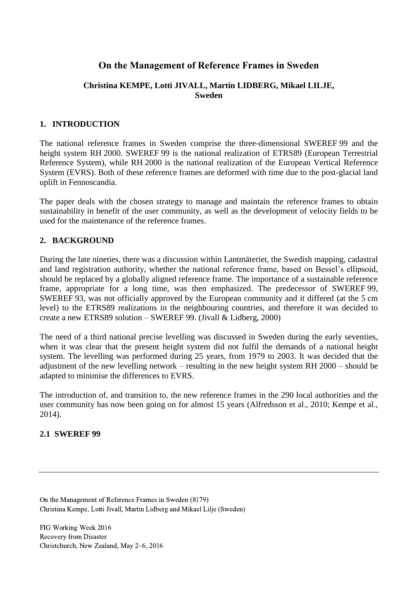# **On the Management of Reference Frames in Sweden**

# **Christina KEMPE, Lotti JIVALL, Martin LIDBERG, Mikael LILJE, Sweden**

# **1. INTRODUCTION**

The national reference frames in Sweden comprise the three-dimensional SWEREF 99 and the height system RH 2000. SWEREF 99 is the national realization of ETRS89 (European Terrestrial Reference System), while RH 2000 is the national realization of the European Vertical Reference System (EVRS). Both of these reference frames are deformed with time due to the post-glacial land uplift in Fennoscandia.

The paper deals with the chosen strategy to manage and maintain the reference frames to obtain sustainability in benefit of the user community, as well as the development of velocity fields to be used for the maintenance of the reference frames.

# **2. BACKGROUND**

During the late nineties, there was a discussion within Lantmäteriet, the Swedish mapping, cadastral and land registration authority, whether the national reference frame, based on Bessel's ellipsoid, should be replaced by a globally aligned reference frame. The importance of a sustainable reference frame, appropriate for a long time, was then emphasized. The predecessor of SWEREF 99, SWEREF 93, was not officially approved by the European community and it differed (at the 5 cm level) to the ETRS89 realizations in the neighbouring countries, and therefore it was decided to create a new ETRS89 solution – SWEREF 99. (Jivall & Lidberg, 2000)

The need of a third national precise levelling was discussed in Sweden during the early seventies, when it was clear that the present height system did not fulfil the demands of a national height system. The levelling was performed during 25 years, from 1979 to 2003. It was decided that the adjustment of the new levelling network – resulting in the new height system RH 2000 – should be adapted to minimise the differences to EVRS.

The introduction of, and transition to, the new reference frames in the 290 local authorities and the user community has now been going on for almost 15 years (Alfredsson et al., 2010; Kempe et al., 2014).

#### **2.1 SWEREF 99**

On the Management of Reference Frames in Sweden (8179) Christina Kempe, Lotti Jivall, Martin Lidberg and Mikael Lilje (Sweden)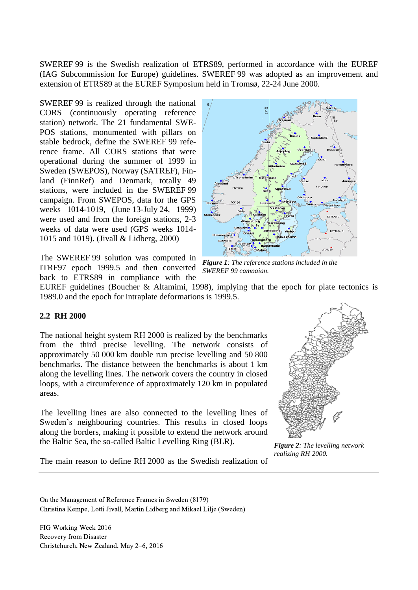SWEREF 99 is the Swedish realization of ETRS89, performed in accordance with the EUREF (IAG Subcommission for Europe) guidelines. SWEREF 99 was adopted as an improvement and extension of ETRS89 at the EUREF Symposium held in Tromsø, 22-24 June 2000.

SWEREF 99 is realized through the national CORS (continuously operating reference station) network. The 21 fundamental SWE-POS stations, monumented with pillars on stable bedrock, define the SWEREF 99 reference frame. All CORS stations that were operational during the summer of 1999 in Sweden (SWEPOS), Norway (SATREF), Finland (FinnRef) and Denmark, totally 49 stations, were included in the SWEREF 99 campaign. From SWEPOS, data for the GPS weeks 1014-1019, (June 13-July 24, 1999) were used and from the foreign stations, 2-3 weeks of data were used (GPS weeks 1014- 1015 and 1019). (Jivall & Lidberg, 2000)

The SWEREF 99 solution was computed in ITRF97 epoch 1999.5 and then converted back to ETRS89 in compliance with the



*Figure 1: The reference stations included in the SWEREF 99 campaign.*

EUREF guidelines (Boucher & Altamimi, 1998), implying that the epoch for plate tectonics is 1989.0 and the epoch for intraplate deformations is 1999.5.

#### **2.2 RH 2000**

The national height system RH 2000 is realized by the benchmarks from the third precise levelling. The network consists of approximately 50 000 km double run precise levelling and 50 800 benchmarks. The distance between the benchmarks is about 1 km along the levelling lines. The network covers the country in closed loops, with a circumference of approximately 120 km in populated areas.

The levelling lines are also connected to the levelling lines of Sweden's neighbouring countries. This results in closed loops along the borders, making it possible to extend the network around the Baltic Sea, the so-called Baltic Levelling Ring (BLR).

*Figure 2: The levelling network realizing RH 2000.*

The main reason to define RH 2000 as the Swedish realization of

On the Management of Reference Frames in Sweden (8179) Christina Kempe, Lotti Jivall, Martin Lidberg and Mikael Lilje (Sweden)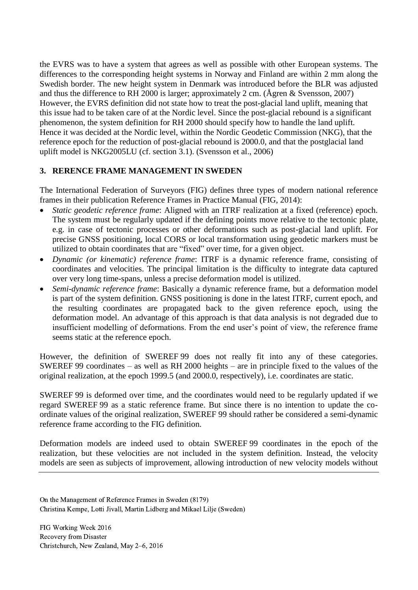the EVRS was to have a system that agrees as well as possible with other European systems. The differences to the corresponding height systems in Norway and Finland are within 2 mm along the Swedish border. The new height system in Denmark was introduced before the BLR was adjusted and thus the difference to RH 2000 is larger; approximately 2 cm. (Ågren & Svensson, 2007) However, the EVRS definition did not state how to treat the post-glacial land uplift, meaning that this issue had to be taken care of at the Nordic level. Since the post-glacial rebound is a significant phenomenon, the system definition for RH 2000 should specify how to handle the land uplift. Hence it was decided at the Nordic level, within the Nordic Geodetic Commission (NKG), that the reference epoch for the reduction of post-glacial rebound is 2000.0, and that the postglacial land uplift model is NKG2005LU (cf. section [3.1\)](#page-4-0). (Svensson et al., 2006)

# **3. RERENCE FRAME MANAGEMENT IN SWEDEN**

The International Federation of Surveyors (FIG) defines three types of modern national reference frames in their publication Reference Frames in Practice Manual (FIG, 2014):

- *Static geodetic reference frame*: Aligned with an ITRF realization at a fixed (reference) epoch. The system must be regularly updated if the defining points move relative to the tectonic plate, e.g. in case of tectonic processes or other deformations such as post-glacial land uplift. For precise GNSS positioning, local CORS or local transformation using geodetic markers must be utilized to obtain coordinates that are "fixed" over time, for a given object.
- *Dynamic (or kinematic) reference frame*: ITRF is a dynamic reference frame, consisting of coordinates and velocities. The principal limitation is the difficulty to integrate data captured over very long time-spans, unless a precise deformation model is utilized.
- *Semi-dynamic reference frame*: Basically a dynamic reference frame, but a deformation model is part of the system definition. GNSS positioning is done in the latest ITRF, current epoch, and the resulting coordinates are propagated back to the given reference epoch, using the deformation model. An advantage of this approach is that data analysis is not degraded due to insufficient modelling of deformations. From the end user's point of view, the reference frame seems static at the reference epoch.

However, the definition of SWEREF 99 does not really fit into any of these categories. SWEREF 99 coordinates – as well as RH 2000 heights – are in principle fixed to the values of the original realization, at the epoch 1999.5 (and 2000.0, respectively), i.e. coordinates are static.

SWEREF 99 is deformed over time, and the coordinates would need to be regularly updated if we regard SWEREF 99 as a static reference frame. But since there is no intention to update the coordinate values of the original realization, SWEREF 99 should rather be considered a semi-dynamic reference frame according to the FIG definition.

Deformation models are indeed used to obtain SWEREF 99 coordinates in the epoch of the realization, but these velocities are not included in the system definition. Instead, the velocity models are seen as subjects of improvement, allowing introduction of new velocity models without

On the Management of Reference Frames in Sweden (8179) Christina Kempe, Lotti Jivall, Martin Lidberg and Mikael Lilje (Sweden)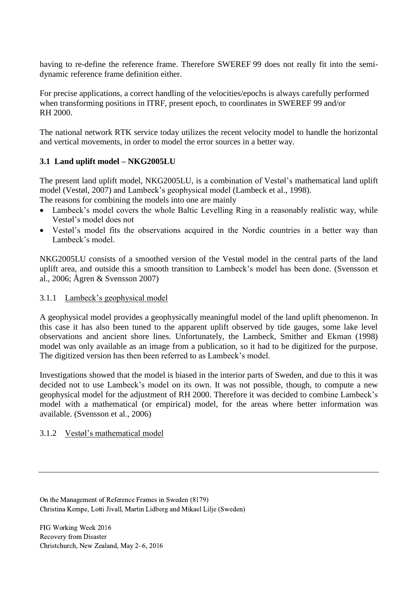having to re-define the reference frame. Therefore SWEREF 99 does not really fit into the semidynamic reference frame definition either.

For precise applications, a correct handling of the velocities/epochs is always carefully performed when transforming positions in ITRF, present epoch, to coordinates in SWEREF 99 and/or RH 2000.

The national network RTK service today utilizes the recent velocity model to handle the horizontal and vertical movements, in order to model the error sources in a better way.

# <span id="page-4-0"></span>**3.1 Land uplift model – NKG2005LU**

The present land uplift model, NKG2005LU, is a combination of Vestøl's mathematical land uplift model (Vestøl, 2007) and Lambeck's geophysical model (Lambeck et al., 1998).

The reasons for combining the models into one are mainly

- Lambeck's model covers the whole Baltic Levelling Ring in a reasonably realistic way, while Vestøl's model does not
- Vestøl's model fits the observations acquired in the Nordic countries in a better way than Lambeck's model.

NKG2005LU consists of a smoothed version of the Vestøl model in the central parts of the land uplift area, and outside this a smooth transition to Lambeck's model has been done. (Svensson et al., 2006; Ågren & Svensson 2007)

# 3.1.1 Lambeck's geophysical model

A geophysical model provides a geophysically meaningful model of the land uplift phenomenon. In this case it has also been tuned to the apparent uplift observed by tide gauges, some lake level observations and ancient shore lines. Unfortunately, the Lambeck, Smither and Ekman (1998) model was only available as an image from a publication, so it had to be digitized for the purpose. The digitized version has then been referred to as Lambeck's model.

Investigations showed that the model is biased in the interior parts of Sweden, and due to this it was decided not to use Lambeck's model on its own. It was not possible, though, to compute a new geophysical model for the adjustment of RH 2000. Therefore it was decided to combine Lambeck's model with a mathematical (or empirical) model, for the areas where better information was available. (Svensson et al., 2006)

# 3.1.2 Vestøl's mathematical model

On the Management of Reference Frames in Sweden (8179) Christina Kempe, Lotti Jivall, Martin Lidberg and Mikael Lilje (Sweden)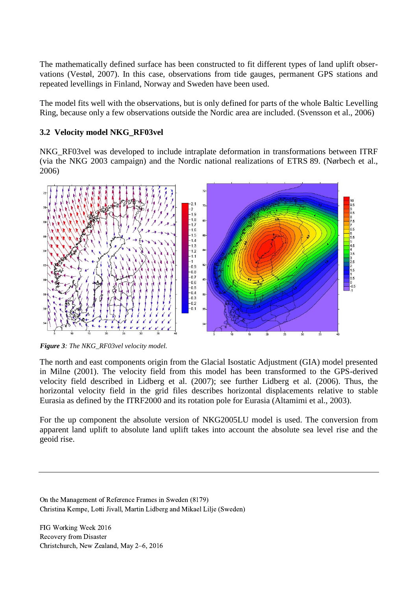The mathematically defined surface has been constructed to fit different types of land uplift observations (Vestøl, 2007). In this case, observations from tide gauges, permanent GPS stations and repeated levellings in Finland, Norway and Sweden have been used.

The model fits well with the observations, but is only defined for parts of the whole Baltic Levelling Ring, because only a few observations outside the Nordic area are included. (Svensson et al., 2006)

# **3.2 Velocity model NKG\_RF03vel**

NKG\_RF03vel was developed to include intraplate deformation in transformations between ITRF (via the NKG 2003 campaign) and the Nordic national realizations of ETRS 89. (Nørbech et al., 2006)



*Figure 3: The NKG\_RF03vel velocity model.*

The north and east components origin from the Glacial Isostatic Adjustment (GIA) model presented in Milne (2001). The velocity field from this model has been transformed to the GPS-derived velocity field described in Lidberg et al. (2007); see further Lidberg et al. (2006). Thus, the horizontal velocity field in the grid files describes horizontal displacements relative to stable Eurasia as defined by the ITRF2000 and its rotation pole for Eurasia (Altamimi et al., 2003).

For the up component the absolute version of NKG2005LU model is used. The conversion from apparent land uplift to absolute land uplift takes into account the absolute sea level rise and the geoid rise.

On the Management of Reference Frames in Sweden (8179) Christina Kempe, Lotti Jivall, Martin Lidberg and Mikael Lilje (Sweden)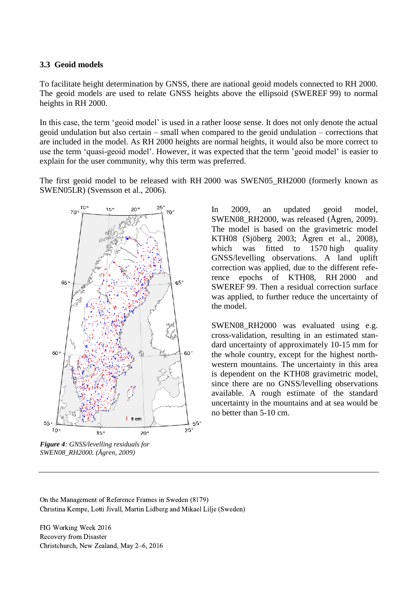#### **3.3 Geoid models**

To facilitate height determination by GNSS, there are national geoid models connected to RH 2000. The geoid models are used to relate GNSS heights above the ellipsoid (SWEREF 99) to normal heights in RH 2000.

In this case, the term 'geoid model' is used in a rather loose sense. It does not only denote the actual geoid undulation but also certain – small when compared to the geoid undulation – corrections that are included in the model. As RH 2000 heights are normal heights, it would also be more correct to use the term 'quasi-geoid model'. However, it was expected that the term 'geoid model' is easier to explain for the user community, why this term was preferred.

The first geoid model to be released with RH 2000 was SWEN05\_RH2000 (formerly known as SWEN05LR) (Svensson et al., 2006).



*Figure 4: GNSS/levelling residuals for SWEN08\_RH2000. (Ågren, 2009)*

In 2009, an updated geoid model, SWEN08 RH2000, was released (Ågren, 2009). The model is based on the gravimetric model KTH08 (Sjöberg 2003; Ågren et al., 2008), which was fitted to 1570 high quality GNSS/levelling observations. A land uplift correction was applied, due to the different reference epochs of KTH08, RH 2000 and SWEREF 99. Then a residual correction surface was applied, to further reduce the uncertainty of the model.

SWEN08\_RH2000 was evaluated using e.g. cross-validation, resulting in an estimated standard uncertainty of approximately 10-15 mm for the whole country, except for the highest northwestern mountains. The uncertainty in this area is dependent on the KTH08 gravimetric model, since there are no GNSS/levelling observations available. A rough estimate of the standard uncertainty in the mountains and at sea would be no better than 5-10 cm.

On the Management of Reference Frames in Sweden (8179) Christina Kempe, Lotti Jivall, Martin Lidberg and Mikael Lilje (Sweden)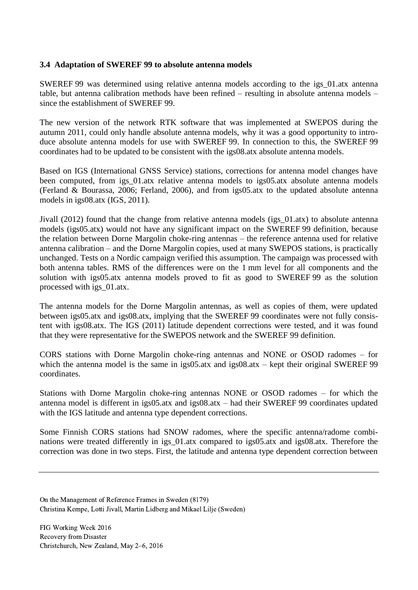#### **3.4 Adaptation of SWEREF 99 to absolute antenna models**

SWEREF 99 was determined using relative antenna models according to the igs\_01.atx antenna table, but antenna calibration methods have been refined – resulting in absolute antenna models – since the establishment of SWEREF 99.

The new version of the network RTK software that was implemented at SWEPOS during the autumn 2011, could only handle absolute antenna models, why it was a good opportunity to introduce absolute antenna models for use with SWEREF 99. In connection to this, the SWEREF 99 coordinates had to be updated to be consistent with the igs08.atx absolute antenna models.

Based on IGS (International GNSS Service) stations, corrections for antenna model changes have been computed, from igs 01.atx relative antenna models to igs05.atx absolute antenna models (Ferland & Bourassa, 2006; Ferland, 2006), and from igs05.atx to the updated absolute antenna models in igs08.atx (IGS, 2011).

Jivall (2012) found that the change from relative antenna models (igs\_01.atx) to absolute antenna models (igs05.atx) would not have any significant impact on the SWEREF 99 definition, because the relation between Dorne Margolin choke-ring antennas – the reference antenna used for relative antenna calibration – and the Dorne Margolin copies, used at many SWEPOS stations, is practically unchanged. Tests on a Nordic campaign verified this assumption. The campaign was processed with both antenna tables. RMS of the differences were on the 1 mm level for all components and the solution with igs05.atx antenna models proved to fit as good to SWEREF 99 as the solution processed with igs\_01.atx.

The antenna models for the Dorne Margolin antennas, as well as copies of them, were updated between igs05.atx and igs08.atx, implying that the SWEREF 99 coordinates were not fully consistent with igs08.atx. The IGS (2011) latitude dependent corrections were tested, and it was found that they were representative for the SWEPOS network and the SWEREF 99 definition.

CORS stations with Dorne Margolin choke-ring antennas and NONE or OSOD radomes – for which the antenna model is the same in igs05.atx and igs08.atx – kept their original SWEREF 99 coordinates.

Stations with Dorne Margolin choke-ring antennas NONE or OSOD radomes – for which the antenna model is different in igs05.atx and igs08.atx – had their SWEREF 99 coordinates updated with the IGS latitude and antenna type dependent corrections.

Some Finnish CORS stations had SNOW radomes, where the specific antenna/radome combinations were treated differently in igs 01.atx compared to igs05.atx and igs08.atx. Therefore the correction was done in two steps. First, the latitude and antenna type dependent correction between

On the Management of Reference Frames in Sweden (8179) Christina Kempe, Lotti Jivall, Martin Lidberg and Mikael Lilje (Sweden)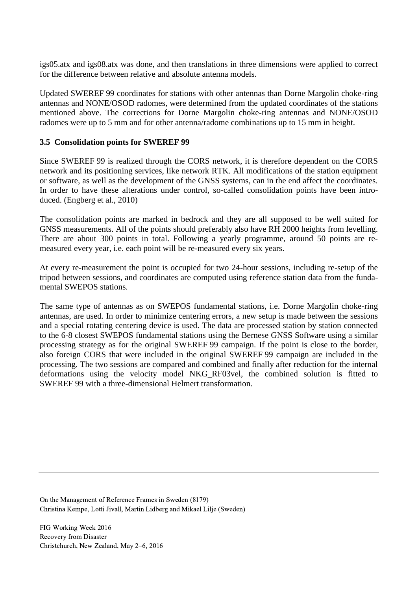igs05.atx and igs08.atx was done, and then translations in three dimensions were applied to correct for the difference between relative and absolute antenna models.

Updated SWEREF 99 coordinates for stations with other antennas than Dorne Margolin choke-ring antennas and NONE/OSOD radomes, were determined from the updated coordinates of the stations mentioned above. The corrections for Dorne Margolin choke-ring antennas and NONE/OSOD radomes were up to 5 mm and for other antenna/radome combinations up to 15 mm in height.

# <span id="page-8-0"></span>**3.5 Consolidation points for SWEREF 99**

Since SWEREF 99 is realized through the CORS network, it is therefore dependent on the CORS network and its positioning services, like network RTK. All modifications of the station equipment or software, as well as the development of the GNSS systems, can in the end affect the coordinates. In order to have these alterations under control, so-called consolidation points have been introduced. (Engberg et al., 2010)

The consolidation points are marked in bedrock and they are all supposed to be well suited for GNSS measurements. All of the points should preferably also have RH 2000 heights from levelling. There are about 300 points in total. Following a yearly programme, around 50 points are remeasured every year, i.e. each point will be re-measured every six years.

At every re-measurement the point is occupied for two 24-hour sessions, including re-setup of the tripod between sessions, and coordinates are computed using reference station data from the fundamental SWEPOS stations.

The same type of antennas as on SWEPOS fundamental stations, i.e. Dorne Margolin choke-ring antennas, are used. In order to minimize centering errors, a new setup is made between the sessions and a special rotating centering device is used. The data are processed station by station connected to the 6-8 closest SWEPOS fundamental stations using the Bernese GNSS Software using a similar processing strategy as for the original SWEREF 99 campaign. If the point is close to the border, also foreign CORS that were included in the original SWEREF 99 campaign are included in the processing. The two sessions are compared and combined and finally after reduction for the internal deformations using the velocity model NKG\_RF03vel, the combined solution is fitted to SWEREF 99 with a three-dimensional Helmert transformation.

On the Management of Reference Frames in Sweden (8179) Christina Kempe, Lotti Jivall, Martin Lidberg and Mikael Lilje (Sweden)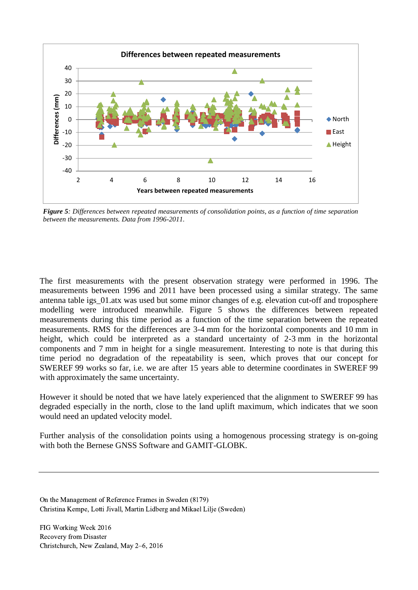

<span id="page-9-0"></span>*Figure 5: Differences between repeated measurements of consolidation points, as a function of time separation between the measurements. Data from 1996-2011.*

The first measurements with the present observation strategy were performed in 1996. The measurements between 1996 and 2011 have been processed using a similar strategy. The same antenna table igs\_01.atx was used but some minor changes of e.g. elevation cut-off and troposphere modelling were introduced meanwhile. [Figure 5](#page-9-0) shows the differences between repeated measurements during this time period as a function of the time separation between the repeated measurements. RMS for the differences are 3-4 mm for the horizontal components and 10 mm in height, which could be interpreted as a standard uncertainty of 2-3 mm in the horizontal components and 7 mm in height for a single measurement. Interesting to note is that during this time period no degradation of the repeatability is seen, which proves that our concept for SWEREF 99 works so far, i.e. we are after 15 years able to determine coordinates in SWEREF 99 with approximately the same uncertainty.

However it should be noted that we have lately experienced that the alignment to SWEREF 99 has degraded especially in the north, close to the land uplift maximum, which indicates that we soon would need an updated velocity model.

Further analysis of the consolidation points using a homogenous processing strategy is on-going with both the Bernese GNSS Software and GAMIT-GLOBK.

On the Management of Reference Frames in Sweden (8179) Christina Kempe, Lotti Jivall, Martin Lidberg and Mikael Lilje (Sweden)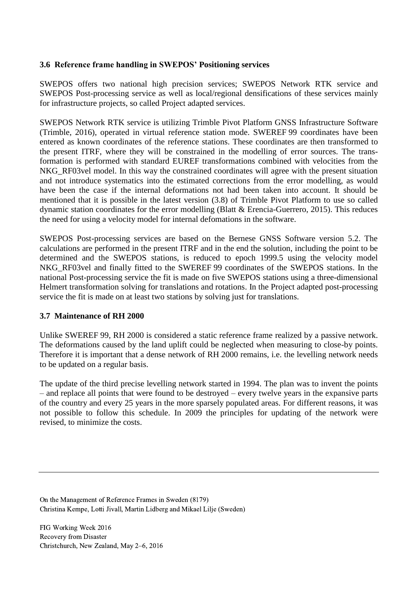### **3.6 Reference frame handling in SWEPOS' Positioning services**

SWEPOS offers two national high precision services; SWEPOS Network RTK service and SWEPOS Post-processing service as well as local/regional densifications of these services mainly for infrastructure projects, so called Project adapted services.

SWEPOS Network RTK service is utilizing Trimble Pivot Platform GNSS Infrastructure Software (Trimble, 2016), operated in virtual reference station mode. SWEREF 99 coordinates have been entered as known coordinates of the reference stations. These coordinates are then transformed to the present ITRF, where they will be constrained in the modelling of error sources. The transformation is performed with standard EUREF transformations combined with velocities from the NKG RF03vel model. In this way the constrained coordinates will agree with the present situation and not introduce systematics into the estimated corrections from the error modelling, as would have been the case if the internal deformations not had been taken into account. It should be mentioned that it is possible in the latest version (3.8) of Trimble Pivot Platform to use so called dynamic station coordinates for the error modelling (Blatt & Erencia-Guerrero, 2015). This reduces the need for using a velocity model for internal defomations in the software.

SWEPOS Post-processing services are based on the Bernese GNSS Software version 5.2. The calculations are performed in the present ITRF and in the end the solution, including the point to be determined and the SWEPOS stations, is reduced to epoch 1999.5 using the velocity model NKG\_RF03vel and finally fitted to the SWEREF 99 coordinates of the SWEPOS stations. In the national Post-processing service the fit is made on five SWEPOS stations using a three-dimensional Helmert transformation solving for translations and rotations. In the Project adapted post-processing service the fit is made on at least two stations by solving just for translations.

#### **3.7 Maintenance of RH 2000**

Unlike SWEREF 99, RH 2000 is considered a static reference frame realized by a passive network. The deformations caused by the land uplift could be neglected when measuring to close-by points. Therefore it is important that a dense network of RH 2000 remains, i.e. the levelling network needs to be updated on a regular basis.

The update of the third precise levelling network started in 1994. The plan was to invent the points – and replace all points that were found to be destroyed – every twelve years in the expansive parts of the country and every 25 years in the more sparsely populated areas. For different reasons, it was not possible to follow this schedule. In 2009 the principles for updating of the network were revised, to minimize the costs.

On the Management of Reference Frames in Sweden (8179) Christina Kempe, Lotti Jivall, Martin Lidberg and Mikael Lilje (Sweden)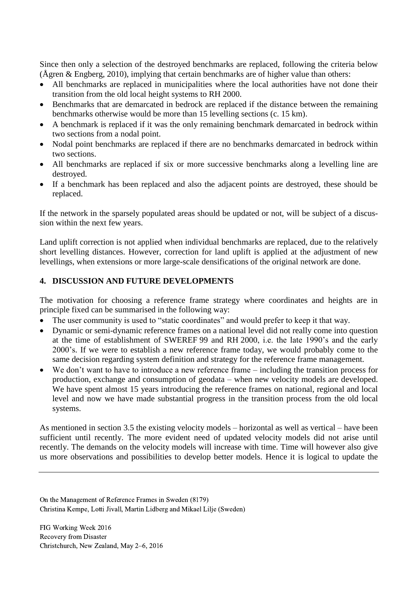Since then only a selection of the destroyed benchmarks are replaced, following the criteria below (Ågren & Engberg, 2010), implying that certain benchmarks are of higher value than others:

- All benchmarks are replaced in municipalities where the local authorities have not done their transition from the old local height systems to RH 2000.
- Benchmarks that are demarcated in bedrock are replaced if the distance between the remaining benchmarks otherwise would be more than 15 levelling sections (c. 15 km).
- A benchmark is replaced if it was the only remaining benchmark demarcated in bedrock within two sections from a nodal point.
- Nodal point benchmarks are replaced if there are no benchmarks demarcated in bedrock within two sections.
- All benchmarks are replaced if six or more successive benchmarks along a levelling line are destroyed.
- If a benchmark has been replaced and also the adjacent points are destroyed, these should be replaced.

If the network in the sparsely populated areas should be updated or not, will be subject of a discussion within the next few years.

Land uplift correction is not applied when individual benchmarks are replaced, due to the relatively short levelling distances. However, correction for land uplift is applied at the adjustment of new levellings, when extensions or more large-scale densifications of the original network are done.

# **4. DISCUSSION AND FUTURE DEVELOPMENTS**

The motivation for choosing a reference frame strategy where coordinates and heights are in principle fixed can be summarised in the following way:

- The user community is used to "static coordinates" and would prefer to keep it that way.
- Dynamic or semi-dynamic reference frames on a national level did not really come into question at the time of establishment of SWEREF 99 and RH 2000, i.e. the late 1990's and the early 2000's. If we were to establish a new reference frame today, we would probably come to the same decision regarding system definition and strategy for the reference frame management.
- We don't want to have to introduce a new reference frame including the transition process for production, exchange and consumption of geodata – when new velocity models are developed. We have spent almost 15 years introducing the reference frames on national, regional and local level and now we have made substantial progress in the transition process from the old local systems.

As mentioned in section [3.5](#page-8-0) the existing velocity models – horizontal as well as vertical – have been sufficient until recently. The more evident need of updated velocity models did not arise until recently. The demands on the velocity models will increase with time. Time will however also give us more observations and possibilities to develop better models. Hence it is logical to update the

On the Management of Reference Frames in Sweden (8179) Christina Kempe, Lotti Jivall, Martin Lidberg and Mikael Lilje (Sweden)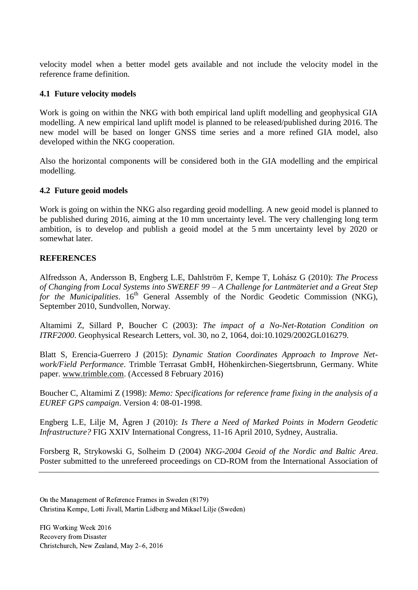velocity model when a better model gets available and not include the velocity model in the reference frame definition.

#### **4.1 Future velocity models**

Work is going on within the NKG with both empirical land uplift modelling and geophysical GIA modelling. A new empirical land uplift model is planned to be released/published during 2016. The new model will be based on longer GNSS time series and a more refined GIA model, also developed within the NKG cooperation.

Also the horizontal components will be considered both in the GIA modelling and the empirical modelling.

#### **4.2 Future geoid models**

Work is going on within the NKG also regarding geoid modelling. A new geoid model is planned to be published during 2016, aiming at the 10 mm uncertainty level. The very challenging long term ambition, is to develop and publish a geoid model at the 5 mm uncertainty level by 2020 or somewhat later.

#### **REFERENCES**

Alfredsson A, Andersson B, Engberg L.E, Dahlström F, Kempe T, Lohász G (2010): *The Process of Changing from Local Systems into SWEREF 99 – A Challenge for Lantmäteriet and a Great Step for the Municipalities*. 16<sup>th</sup> General Assembly of the Nordic Geodetic Commission (NKG), September 2010, Sundvollen, Norway.

Altamimi Z, Sillard P, Boucher C (2003): *The impact of a No-Net-Rotation Condition on ITRF2000*. Geophysical Research Letters, vol. 30, no 2, 1064, doi:10.1029/2002GL016279.

Blatt S, Erencia-Guerrero J (2015): *Dynamic Station Coordinates Approach to Improve Network/Field Performance*. Trimble Terrasat GmbH, Höhenkirchen-Siegertsbrunn, Germany. White paper. [www.trimble.com.](http://www.trimble.com/) (Accessed 8 February 2016)

Boucher C, Altamimi Z (1998): *Memo: Specifications for reference frame fixing in the analysis of a EUREF GPS campaign*. Version 4: 08-01-1998.

Engberg L.E, Lilje M, Ågren J (2010): *Is There a Need of Marked Points in Modern Geodetic Infrastructure?* FIG XXIV International Congress, 11-16 April 2010, Sydney, Australia.

Forsberg R, Strykowski G, Solheim D (2004) *NKG-2004 Geoid of the Nordic and Baltic Area*. Poster submitted to the unrefereed proceedings on CD-ROM from the International Association of

On the Management of Reference Frames in Sweden (8179) Christina Kempe, Lotti Jivall, Martin Lidberg and Mikael Lilje (Sweden)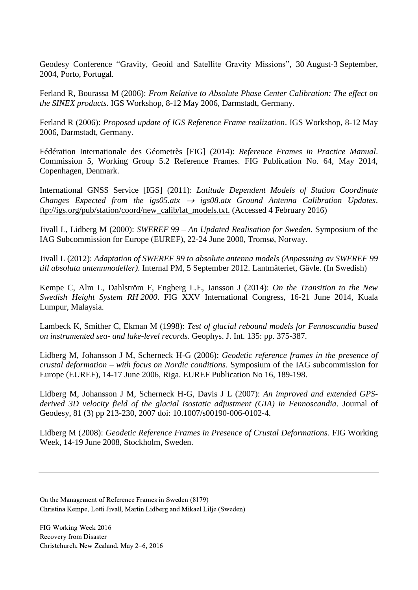Geodesy Conference "Gravity, Geoid and Satellite Gravity Missions", 30 August-3 September, 2004, Porto, Portugal.

Ferland R, Bourassa M (2006): *From Relative to Absolute Phase Center Calibration: The effect on the SINEX products*. IGS Workshop, 8-12 May 2006, Darmstadt, Germany.

Ferland R (2006): *Proposed update of IGS Reference Frame realization*. IGS Workshop, 8-12 May 2006, Darmstadt, Germany.

Fédération Internationale des Géometrès [FIG] (2014): *Reference Frames in Practice Manual*. Commission 5, Working Group 5.2 Reference Frames. FIG Publication No. 64, May 2014, Copenhagen, Denmark.

International GNSS Service [IGS] (2011): *Latitude Dependent Models of Station Coordinate Changes Expected from the igs05.atx*  $\rightarrow$  *igs08.atx Ground Antenna Calibration Updates.* [ftp://igs.org/pub/station/coord/new\\_calib/lat\\_models.txt.](ftp://igs.org/pub/station/coord/new_calib/lat_models.txt) (Accessed 4 February 2016)

Jivall L, Lidberg M (2000): *SWEREF 99 – An Updated Realisation for Sweden*. Symposium of the IAG Subcommission for Europe (EUREF), 22-24 June 2000, Tromsø, Norway.

Jivall L (2012): *Adaptation of SWEREF 99 to absolute antenna models (Anpassning av SWEREF 99 till absoluta antennmodeller)*. Internal PM, 5 September 2012. Lantmäteriet, Gävle. (In Swedish)

Kempe C, Alm L, Dahlström F, Engberg L.E, Jansson J (2014): *On the Transition to the New Swedish Height System RH 2000*. FIG XXV International Congress, 16-21 June 2014, Kuala Lumpur, Malaysia.

Lambeck K, Smither C, Ekman M (1998): *Test of glacial rebound models for Fennoscandia based on instrumented sea- and lake-level records*. Geophys. J. Int. 135: pp. 375-387.

Lidberg M, Johansson J M, Scherneck H-G (2006): *Geodetic reference frames in the presence of crustal deformation – with focus on Nordic conditions*. Symposium of the IAG subcommission for Europe (EUREF), 14-17 June 2006, Riga. EUREF Publication No 16, 189-198.

Lidberg M, Johansson J M, Scherneck H-G, Davis J L (2007): *An improved and extended GPSderived 3D velocity field of the glacial isostatic adjustment (GIA) in Fennoscandia*. Journal of Geodesy, 81 (3) pp 213-230, 2007 doi: 10.1007/s00190-006-0102-4.

Lidberg M (2008): *Geodetic Reference Frames in Presence of Crustal Deformations*. FIG Working Week, 14-19 June 2008, Stockholm, Sweden.

On the Management of Reference Frames in Sweden (8179) Christina Kempe, Lotti Jivall, Martin Lidberg and Mikael Lilje (Sweden)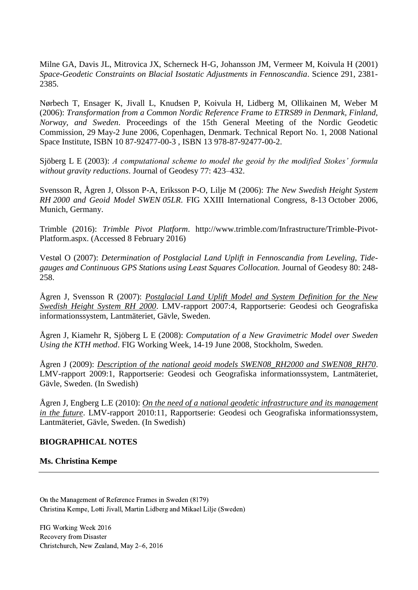Milne GA, Davis JL, Mitrovica JX, Scherneck H-G, Johansson JM, Vermeer M, Koivula H (2001) *Space-Geodetic Constraints on Blacial Isostatic Adjustments in Fennoscandia*. Science 291, 2381- 2385.

Nørbech T, Ensager K, Jivall L, Knudsen P, Koivula H, Lidberg M, Ollikainen M, Weber M (2006): *Transformation from a Common Nordic Reference Frame to ETRS89 in Denmark, Finland, Norway, and Sweden*. Proceedings of the 15th General Meeting of the Nordic Geodetic Commission, 29 May-2 June 2006, Copenhagen, Denmark. Technical Report No. 1, 2008 National Space Institute, ISBN 10 87-92477-00-3 , ISBN 13 978-87-92477-00-2.

Sjöberg L E (2003): *A computational scheme to model the geoid by the modified Stokes' formula without gravity reductions*. Journal of Geodesy 77: 423–432.

Svensson R, Ågren J, Olsson P-A, Eriksson P-O, Lilje M (2006): *The New Swedish Height System RH 2000 and Geoid Model SWEN 05LR*. FIG XXIII International Congress, 8-13 October 2006, Munich, Germany.

Trimble (2016): *Trimble Pivot Platform*. http://www.trimble.com/Infrastructure/Trimble-Pivot-Platform.aspx. (Accessed 8 February 2016)

Vestøl O (2007): *Determination of Postglacial Land Uplift in Fennoscandia from Leveling, Tidegauges and Continuous GPS Stations using Least Squares Collocation.* Journal of Geodesy 80: 248- 258.

Ågren J, Svensson R (2007): *[Postglacial Land Uplift Model and System Definition for the New](http://www.lantmateriet.se/globalassets/kartor-och-geografisk-information/gps-och-matning/geodesi/rapporter_publikationer/rapporter/lmv-rapport_2007_4.pdf)  [Swedish Height System RH 2000](http://www.lantmateriet.se/globalassets/kartor-och-geografisk-information/gps-och-matning/geodesi/rapporter_publikationer/rapporter/lmv-rapport_2007_4.pdf)*. LMV-rapport 2007:4, Rapportserie: Geodesi och Geografiska informationssystem, Lantmäteriet, Gävle, Sweden.

Ågren J, Kiamehr R, Sjöberg L E (2008): *Computation of a New Gravimetric Model over Sweden Using the KTH method*. FIG Working Week, 14-19 June 2008, Stockholm, Sweden.

Ågren J (2009): *[Description of the national geoid models SWEN08\\_RH2000 and SWEN08\\_RH70](http://www.lantmateriet.se/globalassets/kartor-och-geografisk-information/gps-och-matning/geodesi/rapporter_publikationer/rapporter/lmv-rapport_2009_1.pdf)*. LMV-rapport 2009:1, Rapportserie: Geodesi och Geografiska informationssystem, Lantmäteriet, Gävle, Sweden. (In Swedish)

Ågren J, Engberg L.E (2010): *[On the need of a national geodetic infrastructure and its management](http://www.lantmateriet.se/globalassets/kartor-och-geografisk-information/gps-och-matning/geodesi/rapporter_publikationer/rapporter/lmv-rapport_2010-11.pdf)  [in the future](http://www.lantmateriet.se/globalassets/kartor-och-geografisk-information/gps-och-matning/geodesi/rapporter_publikationer/rapporter/lmv-rapport_2010-11.pdf)*. LMV-rapport 2010:11, Rapportserie: Geodesi och Geografiska informationssystem, Lantmäteriet, Gävle, Sweden. (In Swedish)

# **BIOGRAPHICAL NOTES**

#### **Ms. Christina Kempe**

On the Management of Reference Frames in Sweden (8179) Christina Kempe, Lotti Jivall, Martin Lidberg and Mikael Lilje (Sweden)